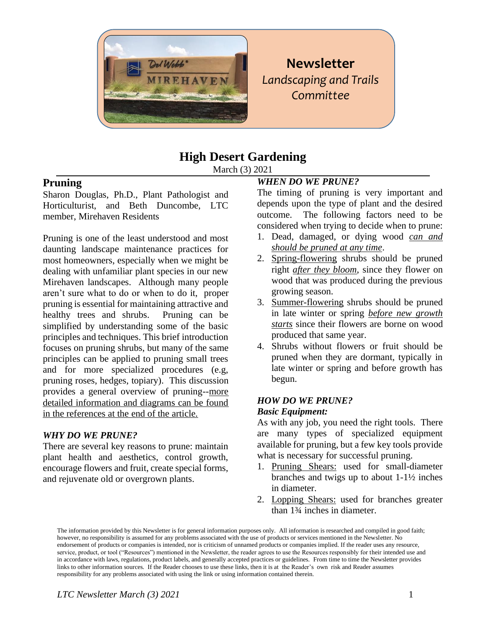

**Newsletter** *Landscaping and Trails Committee* 

# **High Desert Gardening**

March (3) 2021

### **Pruning**

Sharon Douglas, Ph.D., Plant Pathologist and Horticulturist, and Beth Duncombe, LTC member, Mirehaven Residents

Pruning is one of the least understood and most daunting landscape maintenance practices for most homeowners, especially when we might be dealing with unfamiliar plant species in our new Mirehaven landscapes. Although many people aren't sure what to do or when to do it, proper pruning is essential for maintaining attractive and healthy trees and shrubs. Pruning can be simplified by understanding some of the basic principles and techniques. This brief introduction focuses on pruning shrubs, but many of the same principles can be applied to pruning small trees and for more specialized procedures (e.g, pruning roses, hedges, topiary). This discussion provides a general overview of pruning--more detailed information and diagrams can be found in the references at the end of the article.

#### *WHY DO WE PRUNE?*

There are several key reasons to prune: maintain plant health and aesthetics, control growth, encourage flowers and fruit, create special forms, and rejuvenate old or overgrown plants.

### *WHEN DO WE PRUNE?*

The timing of pruning is very important and depends upon the type of plant and the desired outcome. The following factors need to be considered when trying to decide when to prune:

- 1. Dead, damaged, or dying wood *can and should be pruned at any time*.
- 2. Spring-flowering shrubs should be pruned right *after they bloom*, since they flower on wood that was produced during the previous growing season.
- 3. Summer-flowering shrubs should be pruned in late winter or spring *before new growth starts* since their flowers are borne on wood produced that same year.
- 4. Shrubs without flowers or fruit should be pruned when they are dormant, typically in late winter or spring and before growth has begun.

#### *HOW DO WE PRUNE?*

#### *Basic Equipment:*

As with any job, you need the right tools. There are many types of specialized equipment available for pruning, but a few key tools provide what is necessary for successful pruning.

- 1. Pruning Shears: used for small-diameter branches and twigs up to about 1-1½ inches in diameter.
- 2. Lopping Shears: used for branches greater than 1¾ inches in diameter.

The information provided by this Newsletter is for general information purposes only. All information is researched and compiled in good faith; however, no responsibility is assumed for any problems associated with the use of products or services mentioned in the Newsletter. No endorsement of products or companies is intended, nor is criticism of unnamed products or companies implied. If the reader uses any resource, service, product, or tool ("Resources") mentioned in the Newsletter, the reader agrees to use the Resources responsibly for their intended use and in accordance with laws, regulations, product labels, and generally accepted practices or guidelines. From time to time the Newsletter provides links to other information sources. If the Reader chooses to use these links, then it is at the Reader's own risk and Reader assumes responsibility for any problems associated with using the link or using information contained therein.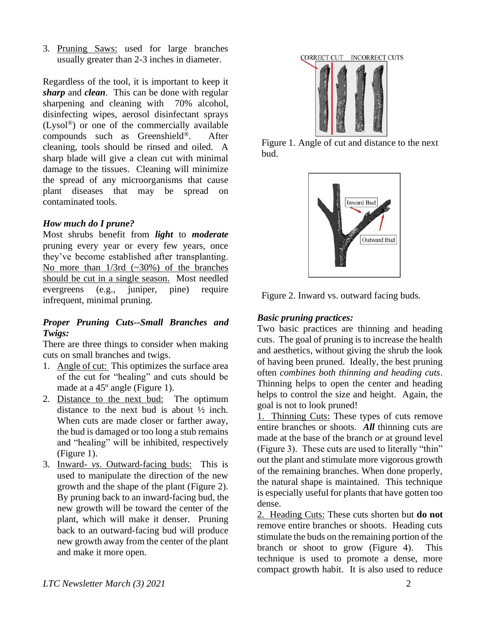3. Pruning Saws: used for large branches usually greater than 2-3 inches in diameter.

Regardless of the tool, it is important to keep it *sharp* and *clean*. This can be done with regular sharpening and cleaning with 70% alcohol, disinfecting wipes, aerosol disinfectant sprays (Lysol®) or one of the commercially available compounds such as Greenshield®. After cleaning, tools should be rinsed and oiled. A sharp blade will give a clean cut with minimal damage to the tissues. Cleaning will minimize the spread of any microorganisms that cause plant diseases that may be spread on contaminated tools.

#### *How much do I prune?*

Most shrubs benefit from *light* to *moderate* pruning every year or every few years, once they've become established after transplanting. No more than  $1/3$ rd  $(-30%)$  of the branches should be cut in a single season. Most needled evergreens (e.g., juniper, pine) require infrequent, minimal pruning.

#### *Proper Pruning Cuts--Small Branches and Twigs:*

There are three things to consider when making cuts on small branches and twigs.

- 1. Angle of cut: This optimizes the surface area of the cut for "healing" and cuts should be made at a 45º angle (Figure 1).
- 2. Distance to the next bud: The optimum distance to the next bud is about  $\frac{1}{2}$  inch. When cuts are made closer or farther away, the bud is damaged or too long a stub remains and "healing" will be inhibited, respectively (Figure 1).
- 3. Inward- *vs*. Outward-facing buds: This is used to manipulate the direction of the new growth and the shape of the plant (Figure 2). By pruning back to an inward-facing bud, the new growth will be toward the center of the plant, which will make it denser. Pruning back to an outward-facing bud will produce new growth away from the center of the plant and make it more open.



Figure 1. Angle of cut and distance to the next bud.



Figure 2. Inward vs. outward facing buds.

### *Basic pruning practices:*

Two basic practices are thinning and heading cuts. The goal of pruning is to increase the health and aesthetics, without giving the shrub the look of having been pruned. Ideally, the best pruning often *combines both thinning and heading cuts*. Thinning helps to open the center and heading helps to control the size and height. Again, the goal is not to look pruned!

1. Thinning Cuts: These types of cuts remove entire branches or shoots. *All* thinning cuts are made at the base of the branch *or* at ground level (Figure 3). These cuts are used to literally "thin" out the plant and stimulate more vigorous growth of the remaining branches. When done properly, the natural shape is maintained. This technique is especially useful for plants that have gotten too dense.

2. Heading Cuts: These cuts shorten but **do not** remove entire branches or shoots. Heading cuts stimulate the buds on the remaining portion of the branch or shoot to grow (Figure 4). This technique is used to promote a dense, more compact growth habit. It is also used to reduce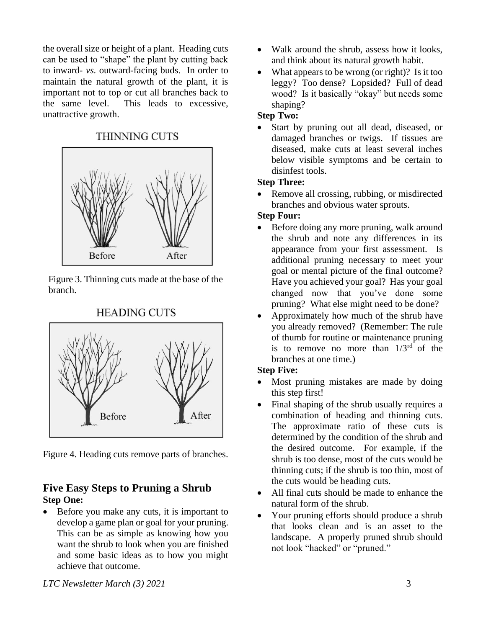the overall size or height of a plant. Heading cuts can be used to "shape" the plant by cutting back to inward- *vs.* outward-facing buds. In order to maintain the natural growth of the plant, it is important not to top or cut all branches back to the same level. This leads to excessive, unattractive growth.

#### **THINNING CUTS**



Figure 3. Thinning cuts made at the base of the branch.

### **HEADING CUTS**



Figure 4. Heading cuts remove parts of branches.

### **Five Easy Steps to Pruning a Shrub Step One:**

• Before you make any cuts, it is important to develop a game plan or goal for your pruning. This can be as simple as knowing how you want the shrub to look when you are finished and some basic ideas as to how you might achieve that outcome.

- Walk around the shrub, assess how it looks, and think about its natural growth habit.
- What appears to be wrong (or right)? Is it too leggy? Too dense? Lopsided? Full of dead wood? Is it basically "okay" but needs some shaping?

### **Step Two:**

• Start by pruning out all dead, diseased, or damaged branches or twigs. If tissues are diseased, make cuts at least several inches below visible symptoms and be certain to disinfest tools.

### **Step Three:**

• Remove all crossing, rubbing, or misdirected branches and obvious water sprouts.

### **Step Four:**

- Before doing any more pruning, walk around the shrub and note any differences in its appearance from your first assessment. Is additional pruning necessary to meet your goal or mental picture of the final outcome? Have you achieved your goal? Has your goal changed now that you've done some pruning? What else might need to be done?
- Approximately how much of the shrub have you already removed? (Remember: The rule of thumb for routine or maintenance pruning is to remove no more than  $1/3<sup>rd</sup>$  of the branches at one time.)

## **Step Five:**

- Most pruning mistakes are made by doing this step first!
- Final shaping of the shrub usually requires a combination of heading and thinning cuts. The approximate ratio of these cuts is determined by the condition of the shrub and the desired outcome. For example, if the shrub is too dense, most of the cuts would be thinning cuts; if the shrub is too thin, most of the cuts would be heading cuts.
- All final cuts should be made to enhance the natural form of the shrub.
- Your pruning efforts should produce a shrub that looks clean and is an asset to the landscape. A properly pruned shrub should not look "hacked" or "pruned."